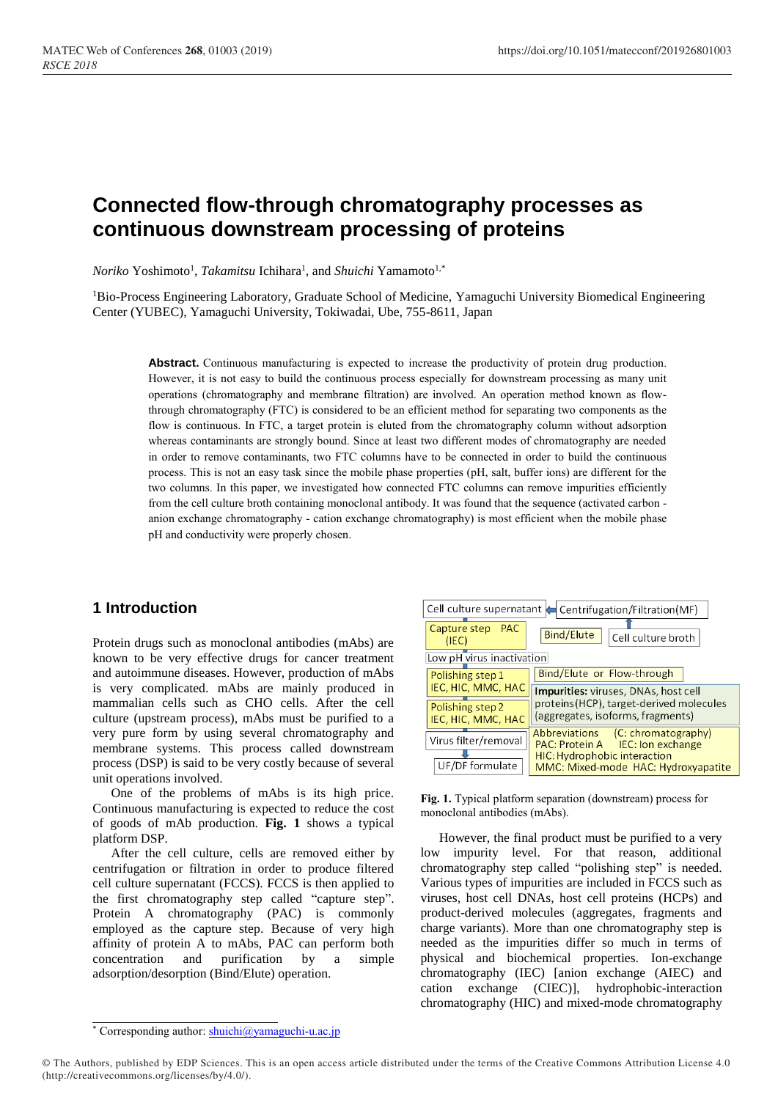# **Connected flow-through chromatography processes as continuous downstream processing of proteins**

*Noriko* Yoshimoto<sup>1</sup>, *Takamitsu* Ichihara<sup>1</sup>, and *Shuichi* Yamamoto<sup>1,\*</sup>

<sup>1</sup>Bio-Process Engineering Laboratory, Graduate School of Medicine, Yamaguchi University Biomedical Engineering Center (YUBEC), Yamaguchi University, Tokiwadai, Ube, 755-8611, Japan

Abstract. Continuous manufacturing is expected to increase the productivity of protein drug production. However, it is not easy to build the continuous process especially for downstream processing as many unit operations (chromatography and membrane filtration) are involved. An operation method known as flowthrough chromatography (FTC) is considered to be an efficient method for separating two components as the flow is continuous. In FTC, a target protein is eluted from the chromatography column without adsorption whereas contaminants are strongly bound. Since at least two different modes of chromatography are needed in order to remove contaminants, two FTC columns have to be connected in order to build the continuous process. This is not an easy task since the mobile phase properties (pH, salt, buffer ions) are different for the two columns. In this paper, we investigated how connected FTC columns can remove impurities efficiently from the cell culture broth containing monoclonal antibody. It was found that the sequence (activated carbon anion exchange chromatography - cation exchange chromatography) is most efficient when the mobile phase pH and conductivity were properly chosen.

# **1 Introduction**

Protein drugs such as monoclonal antibodies (mAbs) are known to be very effective drugs for cancer treatment and autoimmune diseases. However, production of mAbs is very complicated. mAbs are mainly produced in mammalian cells such as CHO cells. After the cell culture (upstream process), mAbs must be purified to a very pure form by using several chromatography and membrane systems. This process called downstream process (DSP) is said to be very costly because of several unit operations involved.

One of the problems of mAbs is its high price. Continuous manufacturing is expected to reduce the cost of goods of mAb production. **Fig. 1** shows a typical platform DSP.

After the cell culture, cells are removed either by centrifugation or filtration in order to produce filtered cell culture supernatant (FCCS). FCCS is then applied to the first chromatography step called "capture step". Protein A chromatography (PAC) is commonly employed as the capture step. Because of very high affinity of protein A to mAbs, PAC can perform both concentration and purification by a simple adsorption/desorption (Bind/Elute) operation.

| Cell culture supernatant   Centrifugation/Filtration(MF) |                                                                               |  |  |  |  |  |  |  |  |  |
|----------------------------------------------------------|-------------------------------------------------------------------------------|--|--|--|--|--|--|--|--|--|
| Capture step<br><b>PAC</b><br>(IEC)                      | Bind/Elute<br>Cell culture broth                                              |  |  |  |  |  |  |  |  |  |
| Low pH virus inactivation                                |                                                                               |  |  |  |  |  |  |  |  |  |
| Polishing step 1                                         | Bind/Elute or Flow-through                                                    |  |  |  |  |  |  |  |  |  |
| IEC, HIC, MMC, HAC                                       | Impurities: viruses, DNAs, host cell                                          |  |  |  |  |  |  |  |  |  |
| Polishing step 2<br>IEC, HIC, MMC, HAC                   | proteins (HCP), target-derived molecules<br>(aggregates, isoforms, fragments) |  |  |  |  |  |  |  |  |  |
| Virus filter/removal                                     | Abbreviations (C: chromatography)<br>PAC: Protein A    IEC: Ion exchange      |  |  |  |  |  |  |  |  |  |
| UF/DF formulate                                          | HIC: Hydrophobic interaction<br>MMC: Mixed-mode HAC: Hydroxyapatite           |  |  |  |  |  |  |  |  |  |

**Fig. 1.** Typical platform separation (downstream) process for monoclonal antibodies (mAbs).

However, the final product must be purified to a very low impurity level. For that reason, additional chromatography step called "polishing step" is needed. Various types of impurities are included in FCCS such as viruses, host cell DNAs, host cell proteins (HCPs) and product-derived molecules (aggregates, fragments and charge variants). More than one chromatography step is needed as the impurities differ so much in terms of physical and biochemical properties. Ion-exchange chromatography (IEC) [anion exchange (AIEC) and cation exchange (CIEC)], hydrophobic-interaction chromatography (HIC) and mixed-mode chromatography

<sup>\*</sup> Corresponding author:  $\frac{\text{shuichi}(a)}{\text{hamaguchi-u.ac.jp}}$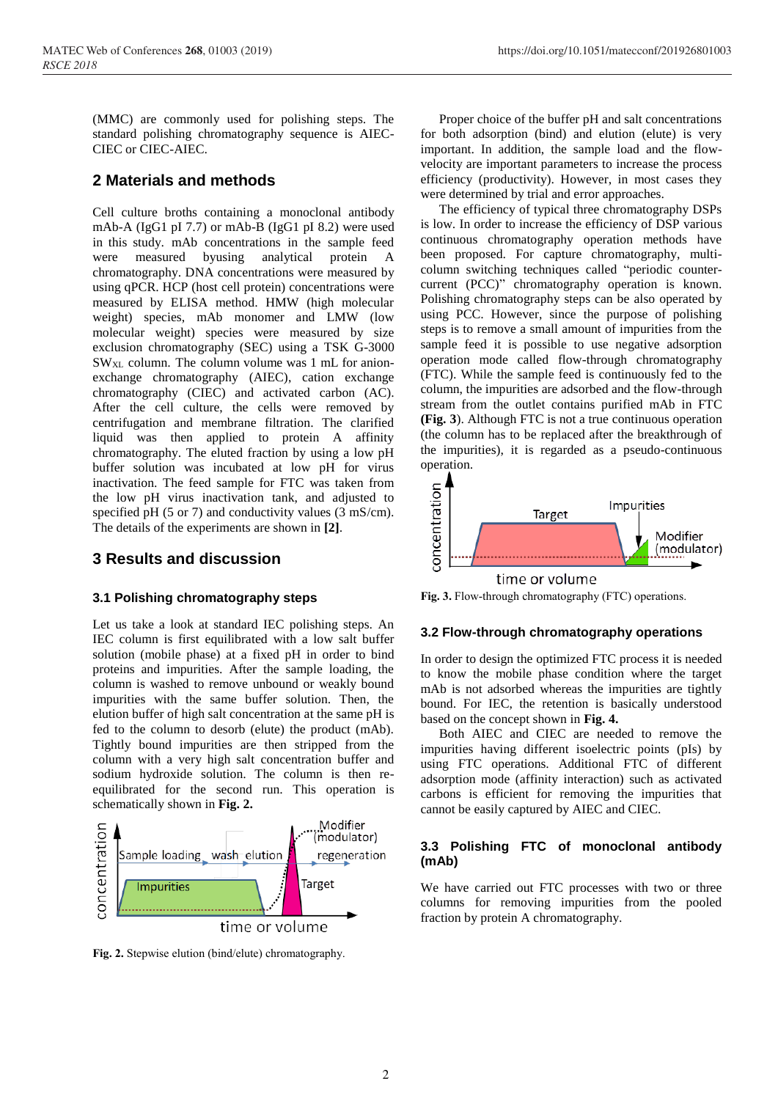(MMC) are commonly used for polishing steps. The standard polishing chromatography sequence is AIEC-CIEC or CIEC-AIEC.

## **2 Materials and methods**

Cell culture broths containing a monoclonal antibody mAb-A (IgG1 pI 7.7) or mAb-B (IgG1 pI 8.2) were used in this study. mAb concentrations in the sample feed<br>were measured byusing analytical protein A were measured byusing analytical protein A chromatography. DNA concentrations were measured by using qPCR. HCP (host cell protein) concentrations were measured by ELISA method. HMW (high molecular weight) species, mAb monomer and LMW (low molecular weight) species were measured by size exclusion chromatography (SEC) using a TSK G-3000  $SW_{XL}$  column. The column volume was 1 mL for anionexchange chromatography (AIEC), cation exchange chromatography (CIEC) and activated carbon (AC). After the cell culture, the cells were removed by centrifugation and membrane filtration. The clarified liquid was then applied to protein A affinity chromatography. The eluted fraction by using a low pH buffer solution was incubated at low pH for virus inactivation. The feed sample for FTC was taken from the low pH virus inactivation tank, and adjusted to specified pH (5 or 7) and conductivity values (3 mS/cm). The details of the experiments are shown in **[2]**.

# **3 Results and discussion**

#### **3.1 Polishing chromatography steps**

Let us take a look at standard IEC polishing steps. An IEC column is first equilibrated with a low salt buffer solution (mobile phase) at a fixed pH in order to bind proteins and impurities. After the sample loading, the column is washed to remove unbound or weakly bound impurities with the same buffer solution. Then, the elution buffer of high salt concentration at the same pH is fed to the column to desorb (elute) the product (mAb). Tightly bound impurities are then stripped from the column with a very high salt concentration buffer and sodium hydroxide solution. The column is then reequilibrated for the second run. This operation is schematically shown in **Fig. 2.**



**Fig. 2.** Stepwise elution (bind/elute) chromatography.

Proper choice of the buffer pH and salt concentrations for both adsorption (bind) and elution (elute) is very important. In addition, the sample load and the flowvelocity are important parameters to increase the process efficiency (productivity). However, in most cases they were determined by trial and error approaches.

The efficiency of typical three chromatography DSPs is low. In order to increase the efficiency of DSP various continuous chromatography operation methods have been proposed. For capture chromatography, multicolumn switching techniques called "periodic countercurrent (PCC)" chromatography operation is known. Polishing chromatography steps can be also operated by using PCC. However, since the purpose of polishing steps is to remove a small amount of impurities from the sample feed it is possible to use negative adsorption operation mode called flow-through chromatography (FTC). While the sample feed is continuously fed to the column, the impurities are adsorbed and the flow-through stream from the outlet contains purified mAb in FTC **(Fig. 3**). Although FTC is not a true continuous operation (the column has to be replaced after the breakthrough of the impurities), it is regarded as a pseudo-continuous operation.



**Fig. 3.** Flow-through chromatography (FTC) operations.

#### **3.2 Flow-through chromatography operations**

In order to design the optimized FTC process it is needed to know the mobile phase condition where the target mAb is not adsorbed whereas the impurities are tightly bound. For IEC, the retention is basically understood based on the concept shown in **Fig. 4.**

Both AIEC and CIEC are needed to remove the impurities having different isoelectric points (pIs) by using FTC operations. Additional FTC of different adsorption mode (affinity interaction) such as activated carbons is efficient for removing the impurities that cannot be easily captured by AIEC and CIEC.

#### **3.3 Polishing FTC of monoclonal antibody (mAb)**

We have carried out FTC processes with two or three columns for removing impurities from the pooled fraction by protein A chromatography.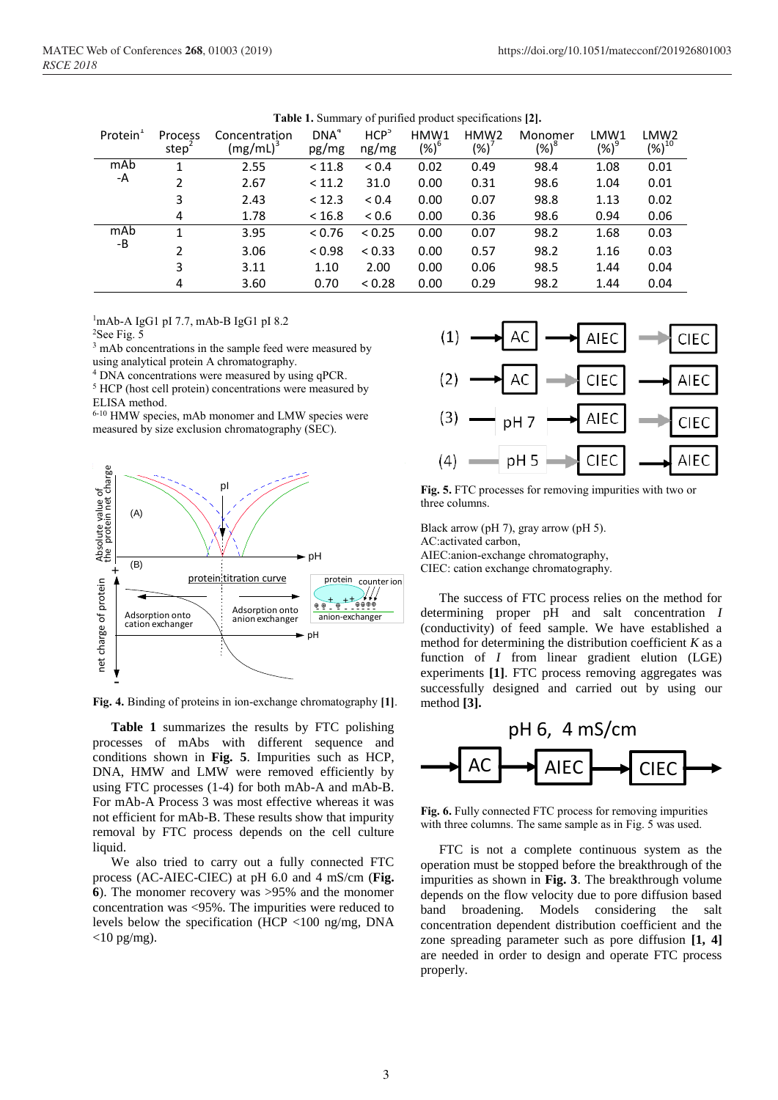| Protein <sup>+</sup> | Process<br>step <sup>2</sup> | Concentration<br>$(mg/mL)^3$ | DNA <sup>4</sup><br>pg/mg | HCP <sup>5</sup><br>ng/mg | HMW1<br>(%) <sup>6</sup> | HMW <sub>2</sub><br>$(\%)^7$ | Monomer<br>(%) <sup>8</sup> | LMW1<br>$\left(\% \right)^{9}$ | LMW <sub>2</sub><br>$(%)^{10}$ |
|----------------------|------------------------------|------------------------------|---------------------------|---------------------------|--------------------------|------------------------------|-----------------------------|--------------------------------|--------------------------------|
| mAb<br>-A            | 1                            | 2.55                         | < 11.8                    | < 0.4                     | 0.02                     | 0.49                         | 98.4                        | 1.08                           | 0.01                           |
|                      | 2                            | 2.67                         | < 11.2                    | 31.0                      | 0.00                     | 0.31                         | 98.6                        | 1.04                           | 0.01                           |
|                      | 3                            | 2.43                         | < 12.3                    | < 0.4                     | 0.00                     | 0.07                         | 98.8                        | 1.13                           | 0.02                           |
|                      | 4                            | 1.78                         | < 16.8                    | < 0.6                     | 0.00                     | 0.36                         | 98.6                        | 0.94                           | 0.06                           |
| mAb<br>-B            | 1                            | 3.95                         | < 0.76                    | < 0.25                    | 0.00                     | 0.07                         | 98.2                        | 1.68                           | 0.03                           |
|                      | 2                            | 3.06                         | < 0.98                    | < 0.33                    | 0.00                     | 0.57                         | 98.2                        | 1.16                           | 0.03                           |
|                      | 3                            | 3.11                         | 1.10                      | 2.00                      | 0.00                     | 0.06                         | 98.5                        | 1.44                           | 0.04                           |
|                      | 4                            | 3.60                         | 0.70                      | < 0.28                    | 0.00                     | 0.29                         | 98.2                        | 1.44                           | 0.04                           |

**Table 1.** Summary of purified product specifications **[2].**

<sup>1</sup>mAb-A IgG1 pI 7.7, mAb-B IgG1 pI 8.2 <sup>2</sup>See Fig. 5

<sup>3</sup> mAb concentrations in the sample feed were measured by using analytical protein A chromatography.

<sup>4</sup> DNA concentrations were measured by using qPCR.

<sup>5</sup> HCP (host cell protein) concentrations were measured by ELISA method.

6-10 HMW species, mAb monomer and LMW species were measured by size exclusion chromatography (SEC).



**Fig. 4.** Binding of proteins in ion-exchange chromatography **[1]**.

**Table 1** summarizes the results by FTC polishing processes of mAbs with different sequence and conditions shown in **Fig. 5**. Impurities such as HCP, DNA, HMW and LMW were removed efficiently by using FTC processes (1-4) for both mAb-A and mAb-B. For mAb-A Process 3 was most effective whereas it was not efficient for mAb-B. These results show that impurity removal by FTC process depends on the cell culture liquid.

We also tried to carry out a fully connected FTC process (AC-AIEC-CIEC) at pH 6.0 and 4 mS/cm (**Fig. 6**). The monomer recovery was >95% and the monomer concentration was <95%. The impurities were reduced to levels below the specification (HCP <100 ng/mg, DNA  $<$ 10 pg/mg).



**Fig. 5.** FTC processes for removing impurities with two or three columns.

Black arrow (pH 7), gray arrow (pH 5). AC:activated carbon, AIEC:anion-exchange chromatography, CIEC: cation exchange chromatography.

The success of FTC process relies on the method for determining proper pH and salt concentration *I* (conductivity) of feed sample. We have established a method for determining the distribution coefficient *K* as a function of *I* from linear gradient elution (LGE) experiments **[1]**. FTC process removing aggregates was successfully designed and carried out by using our method **[3].**



**Fig. 6.** Fully connected FTC process for removing impurities with three columns. The same sample as in Fig. 5 was used.

FTC is not a complete continuous system as the operation must be stopped before the breakthrough of the impurities as shown in **Fig. 3**. The breakthrough volume depends on the flow velocity due to pore diffusion based band broadening. Models considering the salt concentration dependent distribution coefficient and the zone spreading parameter such as pore diffusion **[1, 4]** are needed in order to design and operate FTC process properly.